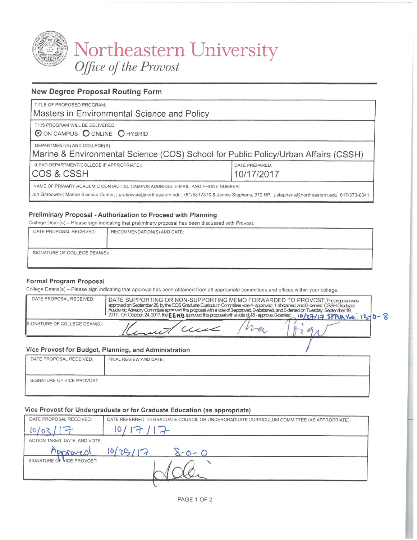

# Northeastern University<br>Office of the Provost

# **New Degree Proposal Routing Form**

| TITLE OF PROPOSED PROGRAM:                                                                                                                                                                                                             |                |  |
|----------------------------------------------------------------------------------------------------------------------------------------------------------------------------------------------------------------------------------------|----------------|--|
| Masters in Environmental Science and Policy                                                                                                                                                                                            |                |  |
| THIS PROGRAM WILL BE DELIVERED:<br>O ON CAMPUS O ONLINE O HYBRID                                                                                                                                                                       |                |  |
| DEPARTMENT(S) AND COLLEGE(S):<br>Marine & Environmental Science (COS) School for Public Policy/Urban Affairs (CSSH)                                                                                                                    |                |  |
| (LEAD DEPARTMENT/COLLEGE IF APPROPRIATE):                                                                                                                                                                                              | DATE PREPARED: |  |
| COS & CSSH                                                                                                                                                                                                                             | 10/17/2017     |  |
| NAME OF PRIMARY ACADEMIC CONTACT(S), CAMPUS ADDRESS, E-MAIL, AND PHONE NUMBER:<br>Jon Grabowski; Marine Science Center; j.grabowski@northeastern.edu; 781/5817370 & Jennie Stephens; 310 RP; j.stephens@northeastern.edu; 617/373-8341 |                |  |

# Preliminary Proposal - Authorization to Proceed with Planning

College Dean(s) - Please sign indicating that preliminary proposal has been discussed with Provost.

| DATE PROPOSAL RECEIVED:                                                               | RECOMMENDATION(S) AND DATE:                                                    |
|---------------------------------------------------------------------------------------|--------------------------------------------------------------------------------|
| SIGNATURE OF COLLEGE DEAN(S):<br><b>NATIONAL CORPORATION IN CONTRACTOR</b><br>_______ | <b><i><u>Property of American Property Inc. (In the United States)</u></i></b> |

# Formal Program Proposal

College Deans(s) - Please sign indicating that approval has been obtained from all appropriate committees and offices within your college.

| DATE PROPOSAL RECEIVED:       | DATE SUPPORTING OR NON-SUPPORTING MEMO FORWARDED TO PROVOST: The proposal was<br>approved on September 26, by the COS Graduate Curriculum Committee vote 4-approved, 1-abstained, and 0-denied, CSSH Graduate<br>Academic Advisory Committee approved this proposal with a vote of 3-approved, 0-abstained, and 0-denied on Tuesday, September 19,<br>2017. On October, 24, 2017, the EEMB approved this proposal with a vote of 18-approve, 0-denied. 10/27/17 SPPUA Vote. 15/ |  |  |
|-------------------------------|---------------------------------------------------------------------------------------------------------------------------------------------------------------------------------------------------------------------------------------------------------------------------------------------------------------------------------------------------------------------------------------------------------------------------------------------------------------------------------|--|--|
| SIGNATURE OF COLLEGE DEAN(S): | "Instit Well                                                                                                                                                                                                                                                                                                                                                                                                                                                                    |  |  |
|                               | Vice Provost for Budget, Planning, and Administration                                                                                                                                                                                                                                                                                                                                                                                                                           |  |  |

# Vice Provost for Budget, Planning, and Administration

| DATE PROPOSAL RECEIVED:    | FINAL REVIEW AND DATE: |
|----------------------------|------------------------|
| SIGNATURE OF VICE PROVOST: |                        |

#### Vice Provost for Undergraduate or for Graduate Education (as appropriate)

| DATE PROPOSAL RECEIVED:       | DATE REFERRED TO GRADUATE COUNCIL OR UNDERGRADUATE CURRICULUM COMMITTEE (AS APPROPRIATE): |
|-------------------------------|-------------------------------------------------------------------------------------------|
| 5010                          | $\mathcal{O}$                                                                             |
| ACTION TAKEN, DATE, AND VOTE: |                                                                                           |
| Moroved                       | 1025/17<br>$8 - 0 - 0$                                                                    |
| SIGNATURE OF VICE PROVOST:    |                                                                                           |
|                               |                                                                                           |

PAGE 1 OF 2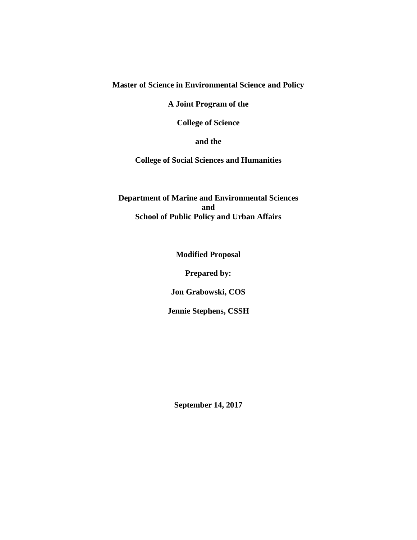# **Master of Science in Environmental Science and Policy**

**A Joint Program of the**

**College of Science** 

**and the** 

**College of Social Sciences and Humanities**

**Department of Marine and Environmental Sciences and School of Public Policy and Urban Affairs** 

**Modified Proposal** 

**Prepared by:**

**Jon Grabowski, COS**

**Jennie Stephens, CSSH**

**September 14, 2017**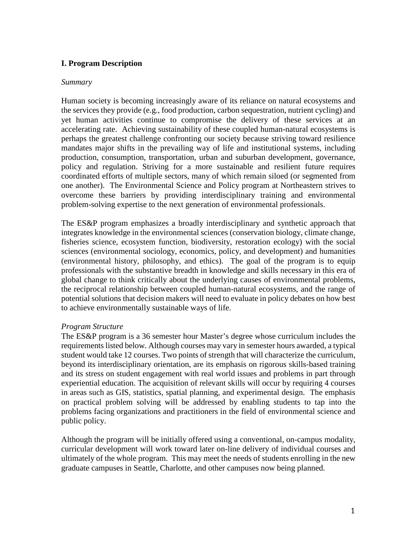# **I. Program Description**

#### *Summary*

Human society is becoming increasingly aware of its reliance on natural ecosystems and the services they provide (e.g., food production, carbon sequestration, nutrient cycling) and yet human activities continue to compromise the delivery of these services at an accelerating rate. Achieving sustainability of these coupled human-natural ecosystems is perhaps the greatest challenge confronting our society because striving toward resilience mandates major shifts in the prevailing way of life and institutional systems, including production, consumption, transportation, urban and suburban development, governance, policy and regulation. Striving for a more sustainable and resilient future requires coordinated efforts of multiple sectors, many of which remain siloed (or segmented from one another). The Environmental Science and Policy program at Northeastern strives to overcome these barriers by providing interdisciplinary training and environmental problem-solving expertise to the next generation of environmental professionals.

The ES&P program emphasizes a broadly interdisciplinary and synthetic approach that integrates knowledge in the environmental sciences (conservation biology, climate change, fisheries science, ecosystem function, biodiversity, restoration ecology) with the social sciences (environmental sociology, economics, policy, and development) and humanities (environmental history, philosophy, and ethics). The goal of the program is to equip professionals with the substantive breadth in knowledge and skills necessary in this era of global change to think critically about the underlying causes of environmental problems, the reciprocal relationship between coupled human-natural ecosystems, and the range of potential solutions that decision makers will need to evaluate in policy debates on how best to achieve environmentally sustainable ways of life.

#### *Program Structure*

The ES&P program is a 36 semester hour Master's degree whose curriculum includes the requirements listed below. Although courses may vary in semester hours awarded, a typical student would take 12 courses. Two points of strength that will characterize the curriculum, beyond its interdisciplinary orientation, are its emphasis on rigorous skills-based training and its stress on student engagement with real world issues and problems in part through experiential education. The acquisition of relevant skills will occur by requiring 4 courses in areas such as GIS, statistics, spatial planning, and experimental design. The emphasis on practical problem solving will be addressed by enabling students to tap into the problems facing organizations and practitioners in the field of environmental science and public policy.

Although the program will be initially offered using a conventional, on-campus modality, curricular development will work toward later on-line delivery of individual courses and ultimately of the whole program. This may meet the needs of students enrolling in the new graduate campuses in Seattle, Charlotte, and other campuses now being planned.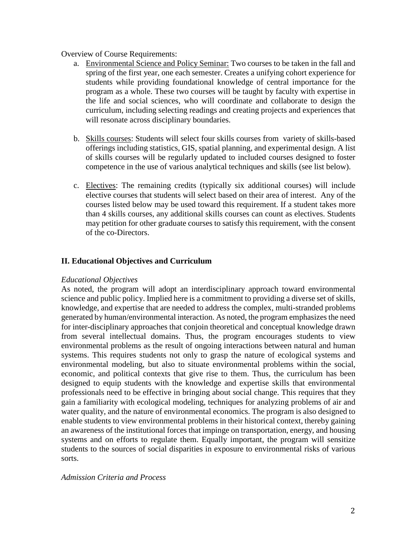#### Overview of Course Requirements:

- a. Environmental Science and Policy Seminar: Two courses to be taken in the fall and spring of the first year, one each semester. Creates a unifying cohort experience for students while providing foundational knowledge of central importance for the program as a whole. These two courses will be taught by faculty with expertise in the life and social sciences, who will coordinate and collaborate to design the curriculum, including selecting readings and creating projects and experiences that will resonate across disciplinary boundaries.
- b. Skills courses: Students will select four skills courses from variety of skills-based offerings including statistics, GIS, spatial planning, and experimental design. A list of skills courses will be regularly updated to included courses designed to foster competence in the use of various analytical techniques and skills (see list below).
- c. Electives: The remaining credits (typically six additional courses) will include elective courses that students will select based on their area of interest. Any of the courses listed below may be used toward this requirement. If a student takes more than 4 skills courses, any additional skills courses can count as electives. Students may petition for other graduate courses to satisfy this requirement, with the consent of the co-Directors.

# **II. Educational Objectives and Curriculum**

#### *Educational Objectives*

As noted, the program will adopt an interdisciplinary approach toward environmental science and public policy. Implied here is a commitment to providing a diverse set of skills, knowledge, and expertise that are needed to address the complex, multi-stranded problems generated by human/environmental interaction. As noted, the program emphasizes the need for inter-disciplinary approaches that conjoin theoretical and conceptual knowledge drawn from several intellectual domains. Thus, the program encourages students to view environmental problems as the result of ongoing interactions between natural and human systems. This requires students not only to grasp the nature of ecological systems and environmental modeling, but also to situate environmental problems within the social, economic, and political contexts that give rise to them. Thus, the curriculum has been designed to equip students with the knowledge and expertise skills that environmental professionals need to be effective in bringing about social change. This requires that they gain a familiarity with ecological modeling, techniques for analyzing problems of air and water quality, and the nature of environmental economics. The program is also designed to enable students to view environmental problems in their historical context, thereby gaining an awareness of the institutional forces that impinge on transportation, energy, and housing systems and on efforts to regulate them. Equally important, the program will sensitize students to the sources of social disparities in exposure to environmental risks of various sorts.

#### *Admission Criteria and Process*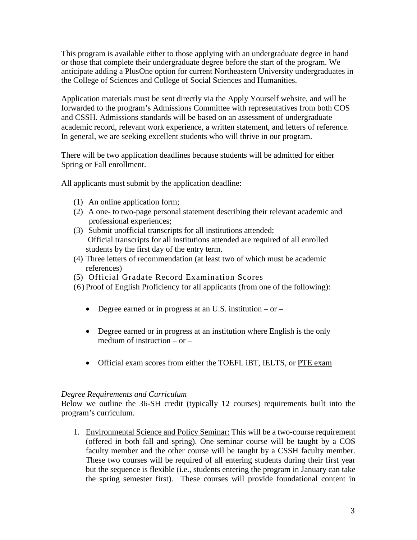This program is available either to those applying with an undergraduate degree in hand or those that complete their undergraduate degree before the start of the program. We anticipate adding a PlusOne option for current Northeastern University undergraduates in the College of Sciences and College of Social Sciences and Humanities.

Application materials must be sent directly via the Apply Yourself website, and will be forwarded to the program's Admissions Committee with representatives from both COS and CSSH. Admissions standards will be based on an assessment of undergraduate academic record, relevant work experience, a written statement, and letters of reference. In general, we are seeking excellent students who will thrive in our program.

There will be two application deadlines because students will be admitted for either Spring or Fall enrollment.

All applicants must submit by the application deadline:

- (1) An online application form;
- (2) A one- to two-page personal statement describing their relevant academic and professional experiences;
- (3) Submit unofficial transcripts for all institutions attended; Official transcripts for all institutions attended are required of all enrolled students by the first day of the entry term.
- (4) Three letters of recommendation (at least two of which must be academic references)
- (5) Official Gradate Record Examination Scores
- (6) Proof of English Proficiency for all applicants (from one of the following):
	- Degree earned or in progress at an U.S. institution or –
	- Degree earned or in progress at an institution where English is the only medium of instruction – or –
	- Official [exam](http://www.northeastern.edu/cos/wp-content/uploads/2014/05/Applying-to-NU-College-of-Science-with-PTE-Academic.pdf) scores from either the TOEFL iBT, IELTS, or PTE exam

#### *Degree Requirements and Curriculum*

Below we outline the 36-SH credit (typically 12 courses) requirements built into the program's curriculum.

1. Environmental Science and Policy Seminar: This will be a two-course requirement (offered in both fall and spring). One seminar course will be taught by a COS faculty member and the other course will be taught by a CSSH faculty member. These two courses will be required of all entering students during their first year but the sequence is flexible (i.e., students entering the program in January can take the spring semester first). These courses will provide foundational content in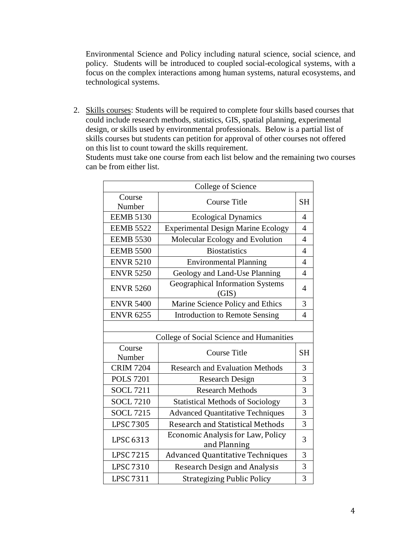Environmental Science and Policy including natural science, social science, and policy. Students will be introduced to coupled social-ecological systems, with a focus on the complex interactions among human systems, natural ecosystems, and technological systems.

2. Skills courses: Students will be required to complete four skills based courses that could include research methods, statistics, GIS, spatial planning, experimental design, or skills used by environmental professionals. Below is a partial list of skills courses but students can petition for approval of other courses not offered on this list to count toward the skills requirement.

Students must take one course from each list below and the remaining two courses can be from either list.

| College of Science |                                                   |                |  |
|--------------------|---------------------------------------------------|----------------|--|
| Course<br>Number   | <b>Course Title</b>                               |                |  |
| <b>EEMB 5130</b>   | <b>Ecological Dynamics</b>                        |                |  |
| <b>EEMB 5522</b>   | <b>Experimental Design Marine Ecology</b>         | $\overline{4}$ |  |
| <b>EEMB 5530</b>   | Molecular Ecology and Evolution                   | $\overline{4}$ |  |
| <b>EEMB 5500</b>   | <b>Biostatistics</b>                              | $\overline{4}$ |  |
| <b>ENVR 5210</b>   | <b>Environmental Planning</b>                     | $\overline{4}$ |  |
| <b>ENVR 5250</b>   | Geology and Land-Use Planning                     | $\overline{4}$ |  |
| <b>ENVR 5260</b>   | <b>Geographical Information Systems</b><br>(GIS)  | $\overline{4}$ |  |
| <b>ENVR 5400</b>   | Marine Science Policy and Ethics                  | 3              |  |
| <b>ENVR 6255</b>   | <b>Introduction to Remote Sensing</b>             | $\overline{4}$ |  |
|                    |                                                   |                |  |
|                    | College of Social Science and Humanities          |                |  |
| Course             |                                                   |                |  |
| Number             | <b>Course Title</b>                               | <b>SH</b>      |  |
| <b>CRIM 7204</b>   | <b>Research and Evaluation Methods</b>            | 3              |  |
| <b>POLS 7201</b>   | <b>Research Design</b>                            | 3              |  |
| <b>SOCL 7211</b>   | <b>Research Methods</b>                           | 3              |  |
| <b>SOCL 7210</b>   | <b>Statistical Methods of Sociology</b>           | 3              |  |
| <b>SOCL 7215</b>   | <b>Advanced Quantitative Techniques</b>           | 3              |  |
| <b>LPSC 7305</b>   | <b>Research and Statistical Methods</b>           | 3              |  |
| LPSC 6313          | Economic Analysis for Law, Policy<br>and Planning | 3              |  |
| <b>LPSC 7215</b>   | <b>Advanced Quantitative Techniques</b>           | 3              |  |
| <b>LPSC 7310</b>   | <b>Research Design and Analysis</b>               | 3              |  |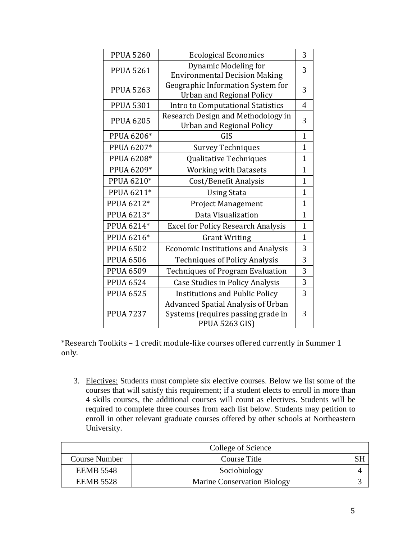| <b>PPUA 5260</b> | <b>Ecological Economics</b>                                                                              |                |
|------------------|----------------------------------------------------------------------------------------------------------|----------------|
| <b>PPUA 5261</b> | <b>Dynamic Modeling for</b><br><b>Environmental Decision Making</b>                                      | 3              |
| <b>PPUA 5263</b> | Geographic Information System for<br><b>Urban and Regional Policy</b>                                    | 3              |
| <b>PPUA 5301</b> | Intro to Computational Statistics                                                                        | $\overline{4}$ |
| <b>PPUA 6205</b> | Research Design and Methodology in<br><b>Urban and Regional Policy</b>                                   | 3              |
| PPUA 6206*       | GIS                                                                                                      | $\mathbf{1}$   |
| PPUA 6207*       | <b>Survey Techniques</b>                                                                                 | $\mathbf{1}$   |
| PPUA 6208*       | Qualitative Techniques                                                                                   | $\mathbf{1}$   |
| PPUA 6209*       | <b>Working with Datasets</b>                                                                             | $\mathbf{1}$   |
| PPUA 6210*       | Cost/Benefit Analysis                                                                                    | $\mathbf{1}$   |
| PPUA 6211*       | <b>Using Stata</b>                                                                                       | $\mathbf{1}$   |
| PPUA 6212*       | Project Management                                                                                       | 1              |
| PPUA 6213*       | Data Visualization                                                                                       | 1              |
| PPUA 6214*       | <b>Excel for Policy Research Analysis</b>                                                                | 1              |
| PPUA 6216*       | <b>Grant Writing</b>                                                                                     | $\mathbf{1}$   |
| <b>PPUA 6502</b> | <b>Economic Institutions and Analysis</b>                                                                | 3              |
| <b>PPUA 6506</b> | <b>Techniques of Policy Analysis</b>                                                                     | 3              |
| <b>PPUA 6509</b> | <b>Techniques of Program Evaluation</b>                                                                  | 3              |
| <b>PPUA 6524</b> | <b>Case Studies in Policy Analysis</b>                                                                   | 3              |
| <b>PPUA 6525</b> | <b>Institutions and Public Policy</b>                                                                    | 3              |
| <b>PPUA 7237</b> | <b>Advanced Spatial Analysis of Urban</b><br>Systems (requires passing grade in<br><b>PPUA 5263 GIS)</b> | 3              |

\*Research Toolkits – 1 credit module-like courses offered currently in Summer 1 only.

3. Electives: Students must complete six elective courses. Below we list some of the courses that will satisfy this requirement; if a student elects to enroll in more than 4 skills courses, the additional courses will count as electives. Students will be required to complete three courses from each list below. Students may petition to enroll in other relevant graduate courses offered by other schools at Northeastern University.

|                      | College of Science                 |  |
|----------------------|------------------------------------|--|
| <b>Course Number</b> | Course Title                       |  |
| <b>EEMB 5548</b>     | Sociobiology                       |  |
| <b>EEMB 5528</b>     | <b>Marine Conservation Biology</b> |  |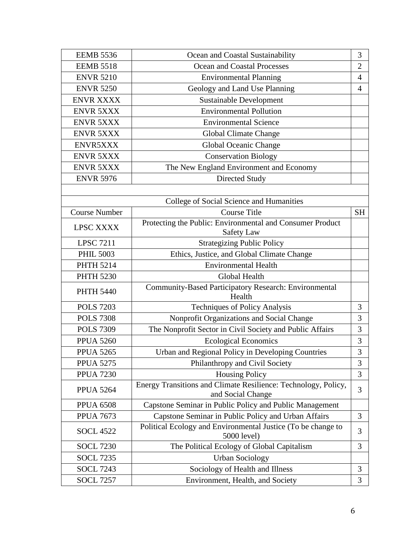| <b>EEMB 5536</b>     | Ocean and Coastal Sustainability                                                    |           |
|----------------------|-------------------------------------------------------------------------------------|-----------|
| <b>EEMB 5518</b>     | Ocean and Coastal Processes                                                         |           |
| <b>ENVR 5210</b>     | <b>Environmental Planning</b>                                                       |           |
| <b>ENVR 5250</b>     | Geology and Land Use Planning                                                       |           |
| <b>ENVR XXXX</b>     | <b>Sustainable Development</b>                                                      |           |
| <b>ENVR 5XXX</b>     | <b>Environmental Pollution</b>                                                      |           |
| <b>ENVR 5XXX</b>     | <b>Environmental Science</b>                                                        |           |
| <b>ENVR 5XXX</b>     | <b>Global Climate Change</b>                                                        |           |
| ENVR5XXX             | Global Oceanic Change                                                               |           |
| <b>ENVR 5XXX</b>     | <b>Conservation Biology</b>                                                         |           |
| <b>ENVR 5XXX</b>     | The New England Environment and Economy                                             |           |
| <b>ENVR 5976</b>     | Directed Study                                                                      |           |
|                      |                                                                                     |           |
|                      | College of Social Science and Humanities                                            |           |
| <b>Course Number</b> | <b>Course Title</b>                                                                 | <b>SH</b> |
| LPSC XXXX            | Protecting the Public: Environmental and Consumer Product                           |           |
|                      | <b>Safety Law</b>                                                                   |           |
| <b>LPSC 7211</b>     | <b>Strategizing Public Policy</b>                                                   |           |
| <b>PHIL 5003</b>     | Ethics, Justice, and Global Climate Change                                          |           |
| <b>PHTH 5214</b>     | <b>Environmental Health</b>                                                         |           |
| <b>PHTH 5230</b>     | Global Health                                                                       |           |
| <b>PHTH 5440</b>     | Community-Based Participatory Research: Environmental                               |           |
|                      | Health                                                                              |           |
| <b>POLS 7203</b>     | Techniques of Policy Analysis                                                       | 3         |
| <b>POLS 7308</b>     | Nonprofit Organizations and Social Change                                           | 3         |
| <b>POLS 7309</b>     | The Nonprofit Sector in Civil Society and Public Affairs                            | 3         |
| <b>PPUA 5260</b>     | <b>Ecological Economics</b>                                                         | 3         |
| <b>PPUA 5265</b>     | Urban and Regional Policy in Developing Countries                                   | 3         |
| <b>PPUA 5275</b>     | Philanthropy and Civil Society                                                      | 3         |
| <b>PPUA 7230</b>     | <b>Housing Policy</b>                                                               | 3         |
| <b>PPUA 5264</b>     | Energy Transitions and Climate Resilience: Technology, Policy,<br>and Social Change | 3         |
| <b>PPUA 6508</b>     | Capstone Seminar in Public Policy and Public Management                             |           |
| <b>PPUA 7673</b>     | Capstone Seminar in Public Policy and Urban Affairs                                 | 3         |
| <b>SOCL 4522</b>     | Political Ecology and Environmental Justice (To be change to<br>5000 level)         | 3         |
| <b>SOCL 7230</b>     | The Political Ecology of Global Capitalism                                          | 3         |
| <b>SOCL 7235</b>     | <b>Urban Sociology</b>                                                              |           |
| <b>SOCL 7243</b>     | Sociology of Health and Illness                                                     | 3         |
| <b>SOCL 7257</b>     | Environment, Health, and Society                                                    | 3         |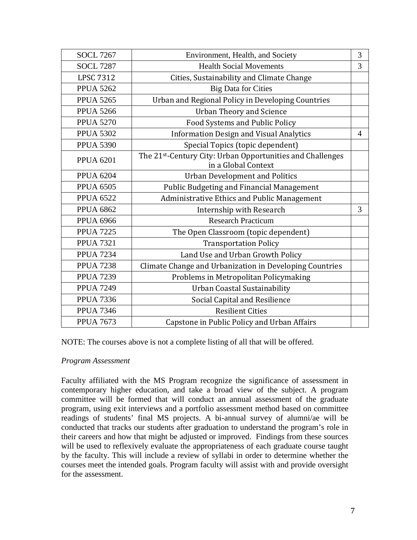| <b>SOCL 7267</b> | Environment, Health, and Society                                                 | 3              |
|------------------|----------------------------------------------------------------------------------|----------------|
| <b>SOCL 7287</b> | <b>Health Social Movements</b>                                                   | 3              |
| <b>LPSC 7312</b> | Cities, Sustainability and Climate Change                                        |                |
| <b>PPUA 5262</b> | <b>Big Data for Cities</b>                                                       |                |
| <b>PPUA 5265</b> | Urban and Regional Policy in Developing Countries                                |                |
| <b>PPUA 5266</b> | <b>Urban Theory and Science</b>                                                  |                |
| <b>PPUA 5270</b> | Food Systems and Public Policy                                                   |                |
| <b>PPUA 5302</b> | <b>Information Design and Visual Analytics</b>                                   | $\overline{4}$ |
| <b>PPUA 5390</b> | Special Topics (topic dependent)                                                 |                |
| <b>PPUA 6201</b> | The 21st-Century City: Urban Opportunities and Challenges<br>in a Global Context |                |
| <b>PPUA 6204</b> | <b>Urban Development and Politics</b>                                            |                |
| <b>PPUA 6505</b> | <b>Public Budgeting and Financial Management</b>                                 |                |
| <b>PPUA 6522</b> | Administrative Ethics and Public Management                                      |                |
| <b>PPUA 6862</b> | Internship with Research                                                         | 3              |
| <b>PPUA 6966</b> | <b>Research Practicum</b>                                                        |                |
| <b>PPUA 7225</b> | The Open Classroom (topic dependent)                                             |                |
| <b>PPUA 7321</b> | <b>Transportation Policy</b>                                                     |                |
| <b>PPUA 7234</b> | Land Use and Urban Growth Policy                                                 |                |
| <b>PPUA 7238</b> | Climate Change and Urbanization in Developing Countries                          |                |
| <b>PPUA 7239</b> | Problems in Metropolitan Policymaking                                            |                |
| <b>PPUA 7249</b> | Urban Coastal Sustainability                                                     |                |
| <b>PPUA 7336</b> | Social Capital and Resilience                                                    |                |
| <b>PPUA 7346</b> | <b>Resilient Cities</b>                                                          |                |
| <b>PPUA 7673</b> | Capstone in Public Policy and Urban Affairs                                      |                |

NOTE: The courses above is not a complete listing of all that will be offered.

#### *Program Assessment*

Faculty affiliated with the MS Program recognize the significance of assessment in contemporary higher education, and take a broad view of the subject. A program committee will be formed that will conduct an annual assessment of the graduate program, using exit interviews and a portfolio assessment method based on committee readings of students' final MS projects. A bi-annual survey of alumni/ae will be conducted that tracks our students after graduation to understand the program's role in their careers and how that might be adjusted or improved. Findings from these sources will be used to reflexively evaluate the appropriateness of each graduate course taught by the faculty. This will include a review of syllabi in order to determine whether the courses meet the intended goals. Program faculty will assist with and provide oversight for the assessment.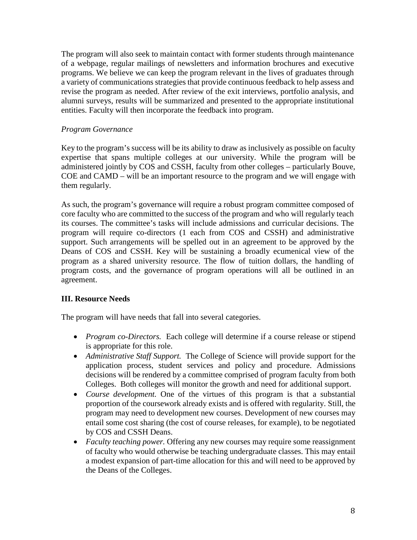The program will also seek to maintain contact with former students through maintenance of a webpage, regular mailings of newsletters and information brochures and executive programs. We believe we can keep the program relevant in the lives of graduates through a variety of communications strategies that provide continuous feedback to help assess and revise the program as needed. After review of the exit interviews, portfolio analysis, and alumni surveys, results will be summarized and presented to the appropriate institutional entities. Faculty will then incorporate the feedback into program.

# *Program Governance*

Key to the program's success will be its ability to draw as inclusively as possible on faculty expertise that spans multiple colleges at our university. While the program will be administered jointly by COS and CSSH, faculty from other colleges – particularly Bouve, COE and CAMD – will be an important resource to the program and we will engage with them regularly.

As such, the program's governance will require a robust program committee composed of core faculty who are committed to the success of the program and who will regularly teach its courses. The committee's tasks will include admissions and curricular decisions. The program will require co-directors (1 each from COS and CSSH) and administrative support. Such arrangements will be spelled out in an agreement to be approved by the Deans of COS and CSSH. Key will be sustaining a broadly ecumenical view of the program as a shared university resource. The flow of tuition dollars, the handling of program costs, and the governance of program operations will all be outlined in an agreement.

# **III. Resource Needs**

The program will have needs that fall into several categories.

- *Program co-Directors.* Each college will determine if a course release or stipend is appropriate for this role.
- *Administrative Staff Support.* The College of Science will provide support for the application process, student services and policy and procedure. Admissions decisions will be rendered by a committee comprised of program faculty from both Colleges. Both colleges will monitor the growth and need for additional support.
- *Course development.* One of the virtues of this program is that a substantial proportion of the coursework already exists and is offered with regularity. Still, the program may need to development new courses. Development of new courses may entail some cost sharing (the cost of course releases, for example), to be negotiated by COS and CSSH Deans.
- *Faculty teaching power*. Offering any new courses may require some reassignment of faculty who would otherwise be teaching undergraduate classes. This may entail a modest expansion of part-time allocation for this and will need to be approved by the Deans of the Colleges.